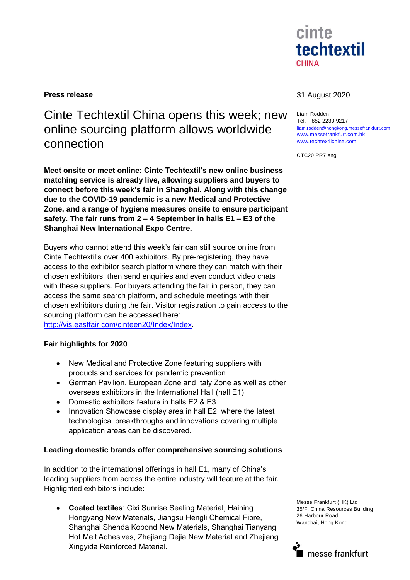

# Cinte Techtextil China opens this week; new online sourcing platform allows worldwide connection

**Meet onsite or meet online: Cinte Techtextil's new online business matching service is already live, allowing suppliers and buyers to connect before this week's fair in Shanghai. Along with this change due to the COVID-19 pandemic is a new Medical and Protective Zone, and a range of hygiene measures onsite to ensure participant safety. The fair runs from 2 – 4 September in halls E1 – E3 of the Shanghai New International Expo Centre.**

Buyers who cannot attend this week's fair can still source online from Cinte Techtextil's over 400 exhibitors. By pre-registering, they have access to the exhibitor search platform where they can match with their chosen exhibitors, then send enquiries and even conduct video chats with these suppliers. For buyers attending the fair in person, they can access the same search platform, and schedule meetings with their chosen exhibitors during the fair. Visitor registration to gain access to the sourcing platform can be accessed here:

[http://vis.eastfair.com/cinteen20/Index/Index.](http://vis.eastfair.com/cinteen20/Index/Index)

# **Fair highlights for 2020**

- New Medical and Protective Zone featuring suppliers with products and services for pandemic prevention.
- German Pavilion, European Zone and Italy Zone as well as other overseas exhibitors in the International Hall (hall E1).
- Domestic exhibitors feature in halls E2 & E3.
- Innovation Showcase display area in hall E2, where the latest technological breakthroughs and innovations covering multiple application areas can be discovered.

## **Leading domestic brands offer comprehensive sourcing solutions**

In addition to the international offerings in hall E1, many of China's leading suppliers from across the entire industry will feature at the fair. Highlighted exhibitors include:

 **Coated textiles**: Cixi Sunrise Sealing Material, Haining Hongyang New Materials, Jiangsu Hengli Chemical Fibre, Shanghai Shenda Kobond New Materials, Shanghai Tianyang Hot Melt Adhesives, Zhejiang Dejia New Material and Zhejiang Xingyida Reinforced Material.

## **Press release** 31 August 2020

Liam Rodden Tel. +852 2230 9217 [liam.rodden@hongkong.messefrankfurt.com](mailto:liam.rodden@hongkong.messefrankfurt.com) [www.messefrankfurt.com.hk](http://www.messefrankfurt.com.hk/) [www.techtextilchina.com](http://www.techtextilchina.com/)

CTC20 PR7 eng

Messe Frankfurt (HK) Ltd 35/F, China Resources Building 26 Harbour Road Wanchai, Hong Kong

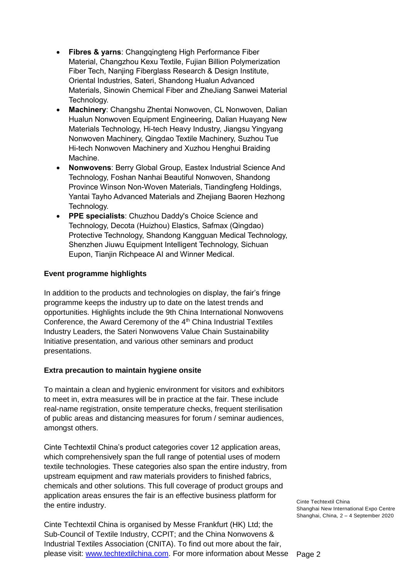- **Fibres & yarns**: Changqingteng High Performance Fiber Material, Changzhou Kexu Textile, Fujian Billion Polymerization Fiber Tech, Nanjing Fiberglass Research & Design Institute, Oriental Industries, Sateri, Shandong Hualun Advanced Materials, Sinowin Chemical Fiber and ZheJiang Sanwei Material Technology.
- **Machinery**: Changshu Zhentai Nonwoven, CL Nonwoven, Dalian Hualun Nonwoven Equipment Engineering, Dalian Huayang New Materials Technology, Hi-tech Heavy Industry, Jiangsu Yingyang Nonwoven Machinery, Qingdao Textile Machinery, Suzhou Tue Hi-tech Nonwoven Machinery and Xuzhou Henghui Braiding Machine.
- **Nonwovens**: Berry Global Group, Eastex Industrial Science And Technology, Foshan Nanhai Beautiful Nonwoven, Shandong Province Winson Non-Woven Materials, Tiandingfeng Holdings, Yantai Tayho Advanced Materials and Zhejiang Baoren Hezhong Technology.
- **PPE specialists**: Chuzhou Daddy's Choice Science and Technology, Decota (Huizhou) Elastics, Safmax (Qingdao) Protective Technology, Shandong Kangguan Medical Technology, Shenzhen Jiuwu Equipment Intelligent Technology, Sichuan Eupon, Tianjin Richpeace AI and Winner Medical.

# **Event programme highlights**

In addition to the products and technologies on display, the fair's fringe programme keeps the industry up to date on the latest trends and opportunities. Highlights include the 9th China International Nonwovens Conference, the Award Ceremony of the 4<sup>th</sup> China Industrial Textiles Industry Leaders, the Sateri Nonwovens Value Chain Sustainability Initiative presentation, and various other seminars and product presentations.

# **Extra precaution to maintain hygiene onsite**

To maintain a clean and hygienic environment for visitors and exhibitors to meet in, extra measures will be in practice at the fair. These include real-name registration, onsite temperature checks, frequent sterilisation of public areas and distancing measures for forum / seminar audiences, amongst others.

Cinte Techtextil China's product categories cover 12 application areas, which comprehensively span the full range of potential uses of modern textile technologies. These categories also span the entire industry, from upstream equipment and raw materials providers to finished fabrics, chemicals and other solutions. This full coverage of product groups and application areas ensures the fair is an effective business platform for the entire industry.

please visit: www.techtextilchina.com</u>. For more information about Messe Page 2 Cinte Techtextil China is organised by Messe Frankfurt (HK) Ltd; the Sub-Council of Textile Industry, CCPIT; and the China Nonwovens & Industrial Textiles Association (CNITA). To find out more about the fair,

Cinte Techtextil China Shanghai New International Expo Centre Shanghai, China, 2 – 4 September 2020